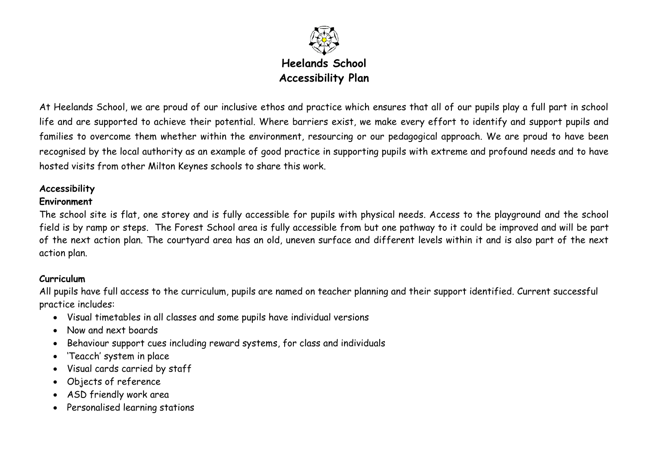

At Heelands School, we are proud of our inclusive ethos and practice which ensures that all of our pupils play a full part in school life and are supported to achieve their potential. Where barriers exist, we make every effort to identify and support pupils and families to overcome them whether within the environment, resourcing or our pedagogical approach. We are proud to have been recognised by the local authority as an example of good practice in supporting pupils with extreme and profound needs and to have hosted visits from other Milton Keynes schools to share this work.

# **Accessibility**

### **Environment**

The school site is flat, one storey and is fully accessible for pupils with physical needs. Access to the playground and the school field is by ramp or steps. The Forest School area is fully accessible from but one pathway to it could be improved and will be part of the next action plan. The courtyard area has an old, uneven surface and different levels within it and is also part of the next action plan.

# **Curriculum**

All pupils have full access to the curriculum, pupils are named on teacher planning and their support identified. Current successful practice includes:

- Visual timetables in all classes and some pupils have individual versions
- Now and next boards
- Behaviour support cues including reward systems, for class and individuals
- 'Teacch' system in place
- Visual cards carried by staff
- Objects of reference
- ASD friendly work area
- Personalised learning stations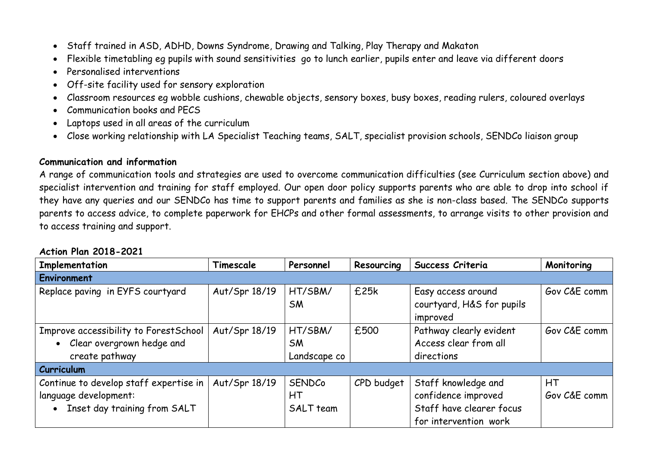- Staff trained in ASD, ADHD, Downs Syndrome, Drawing and Talking, Play Therapy and Makaton
- Flexible timetabling eg pupils with sound sensitivities go to lunch earlier, pupils enter and leave via different doors
- Personalised interventions
- Off-site facility used for sensory exploration
- Classroom resources eg wobble cushions, chewable objects, sensory boxes, busy boxes, reading rulers, coloured overlays
- Communication books and PECS
- Laptops used in all areas of the curriculum
- Close working relationship with LA Specialist Teaching teams, SALT, specialist provision schools, SENDCo liaison group

### **Communication and information**

A range of communication tools and strategies are used to overcome communication difficulties (see Curriculum section above) and specialist intervention and training for staff employed. Our open door policy supports parents who are able to drop into school if they have any queries and our SENDCo has time to support parents and families as she is non-class based. The SENDCo supports parents to access advice, to complete paperwork for EHCPs and other formal assessments, to arrange visits to other provision and to access training and support.

| Implementation                         | Timescale     | Personnel    | Resourcing | Success Criteria          | Monitoring   |
|----------------------------------------|---------------|--------------|------------|---------------------------|--------------|
| <b>Environment</b>                     |               |              |            |                           |              |
| Replace paving in EYFS courtyard       | Aut/Spr 18/19 | HT/SBM/      | £25k       | Easy access around        | Gov C&E comm |
|                                        |               | <b>SM</b>    |            | courtyard, H&S for pupils |              |
|                                        |               |              |            | improved                  |              |
| Improve accessibility to ForestSchool  | Aut/Spr 18/19 | HT/SBM/      | £500       | Pathway clearly evident   | Gov C&E comm |
| Clear overgrown hedge and              |               | <b>SM</b>    |            | Access clear from all     |              |
| create pathway                         |               | Landscape co |            | directions                |              |
| <b>Curriculum</b>                      |               |              |            |                           |              |
| Continue to develop staff expertise in | Aut/Spr 18/19 | SENDCo       | CPD budget | Staff knowledge and       | HТ           |
| language development:                  |               | НT           |            | confidence improved       | Gov C&E comm |
| Inset day training from SALT           |               | SALT team    |            | Staff have clearer focus  |              |
|                                        |               |              |            | for intervention work     |              |

# **Action Plan 2018-2021**